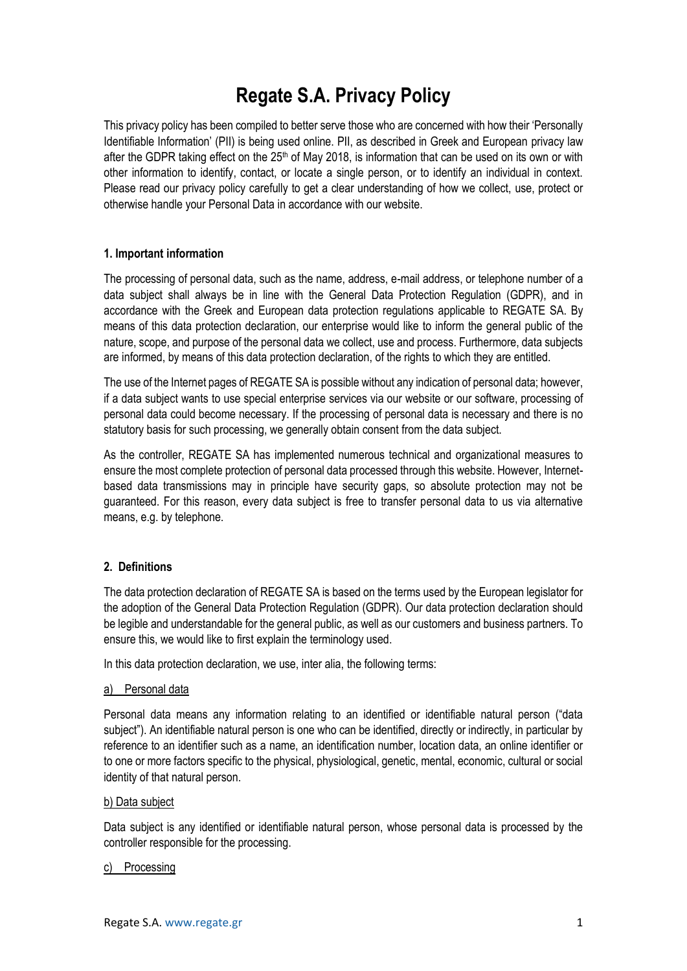# **Regate S.A. Privacy Policy**

This privacy policy has been compiled to better serve those who are concerned with how their 'Personally Identifiable Information' (PII) is being used online. PII, as described in Greek and European privacy law after the GDPR taking effect on the 25<sup>th</sup> of May 2018, is information that can be used on its own or with other information to identify, contact, or locate a single person, or to identify an individual in context. Please read our privacy policy carefully to get a clear understanding of how we collect, use, protect or otherwise handle your Personal Data in accordance with our website.

## **1. Important information**

The processing of personal data, such as the name, address, e-mail address, or telephone number of a data subject shall always be in line with the General Data Protection Regulation (GDPR), and in accordance with the Greek and European data protection regulations applicable to REGATE SA. By means of this data protection declaration, our enterprise would like to inform the general public of the nature, scope, and purpose of the personal data we collect, use and process. Furthermore, data subjects are informed, by means of this data protection declaration, of the rights to which they are entitled.

The use of the Internet pages of REGATE SA is possible without any indication of personal data; however, if a data subject wants to use special enterprise services via our website or our software, processing of personal data could become necessary. If the processing of personal data is necessary and there is no statutory basis for such processing, we generally obtain consent from the data subject.

As the controller, REGATE SA has implemented numerous technical and organizational measures to ensure the most complete protection of personal data processed through this website. However, Internetbased data transmissions may in principle have security gaps, so absolute protection may not be guaranteed. For this reason, every data subject is free to transfer personal data to us via alternative means, e.g. by telephone.

# **2. Definitions**

The data protection declaration of REGATE SA is based on the terms used by the European legislator for the adoption of the General Data Protection Regulation (GDPR). Our data protection declaration should be legible and understandable for the general public, as well as our customers and business partners. To ensure this, we would like to first explain the terminology used.

In this data protection declaration, we use, inter alia, the following terms:

#### a) Personal data

Personal data means any information relating to an identified or identifiable natural person ("data subject"). An identifiable natural person is one who can be identified, directly or indirectly, in particular by reference to an identifier such as a name, an identification number, location data, an online identifier or to one or more factors specific to the physical, physiological, genetic, mental, economic, cultural or social identity of that natural person.

#### b) Data subject

Data subject is any identified or identifiable natural person, whose personal data is processed by the controller responsible for the processing.

#### c) Processing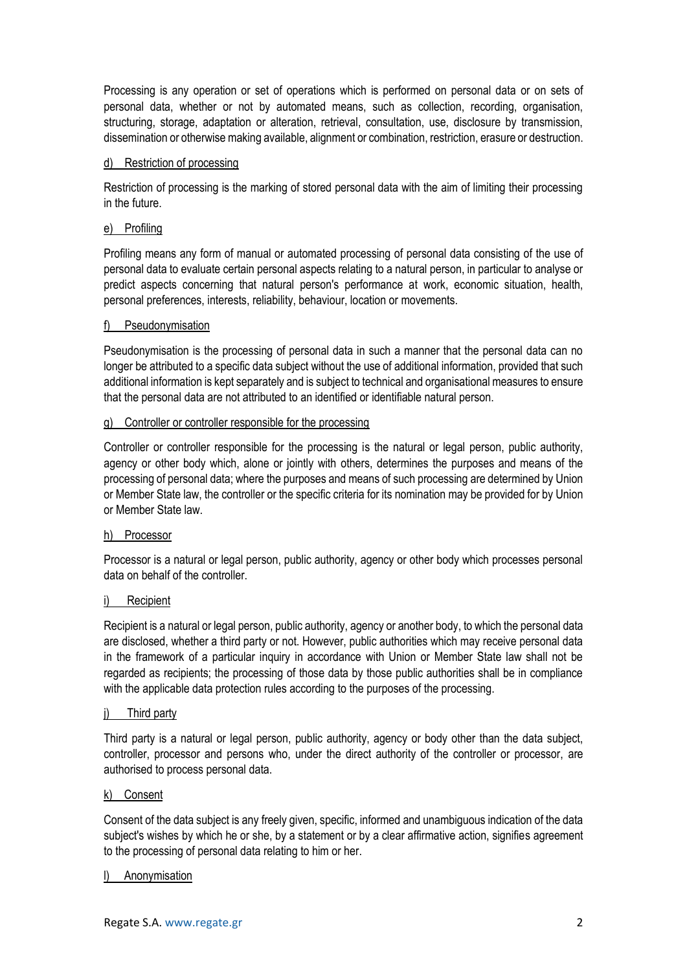Processing is any operation or set of operations which is performed on personal data or on sets of personal data, whether or not by automated means, such as collection, recording, organisation, structuring, storage, adaptation or alteration, retrieval, consultation, use, disclosure by transmission, dissemination or otherwise making available, alignment or combination, restriction, erasure or destruction.

#### d) Restriction of processing

Restriction of processing is the marking of stored personal data with the aim of limiting their processing in the future.

#### e) Profiling

Profiling means any form of manual or automated processing of personal data consisting of the use of personal data to evaluate certain personal aspects relating to a natural person, in particular to analyse or predict aspects concerning that natural person's performance at work, economic situation, health, personal preferences, interests, reliability, behaviour, location or movements.

#### f) Pseudonymisation

Pseudonymisation is the processing of personal data in such a manner that the personal data can no longer be attributed to a specific data subject without the use of additional information, provided that such additional information is kept separately and is subject to technical and organisational measures to ensure that the personal data are not attributed to an identified or identifiable natural person.

#### g) Controller or controller responsible for the processing

Controller or controller responsible for the processing is the natural or legal person, public authority, agency or other body which, alone or jointly with others, determines the purposes and means of the processing of personal data; where the purposes and means of such processing are determined by Union or Member State law, the controller or the specific criteria for its nomination may be provided for by Union or Member State law.

#### h) Processor

Processor is a natural or legal person, public authority, agency or other body which processes personal data on behalf of the controller.

#### i) Recipient

Recipient is a natural or legal person, public authority, agency or another body, to which the personal data are disclosed, whether a third party or not. However, public authorities which may receive personal data in the framework of a particular inquiry in accordance with Union or Member State law shall not be regarded as recipients; the processing of those data by those public authorities shall be in compliance with the applicable data protection rules according to the purposes of the processing.

#### j) Third party

Third party is a natural or legal person, public authority, agency or body other than the data subject, controller, processor and persons who, under the direct authority of the controller or processor, are authorised to process personal data.

#### k) Consent

Consent of the data subject is any freely given, specific, informed and unambiguous indication of the data subject's wishes by which he or she, by a statement or by a clear affirmative action, signifies agreement to the processing of personal data relating to him or her.

#### l) Anonymisation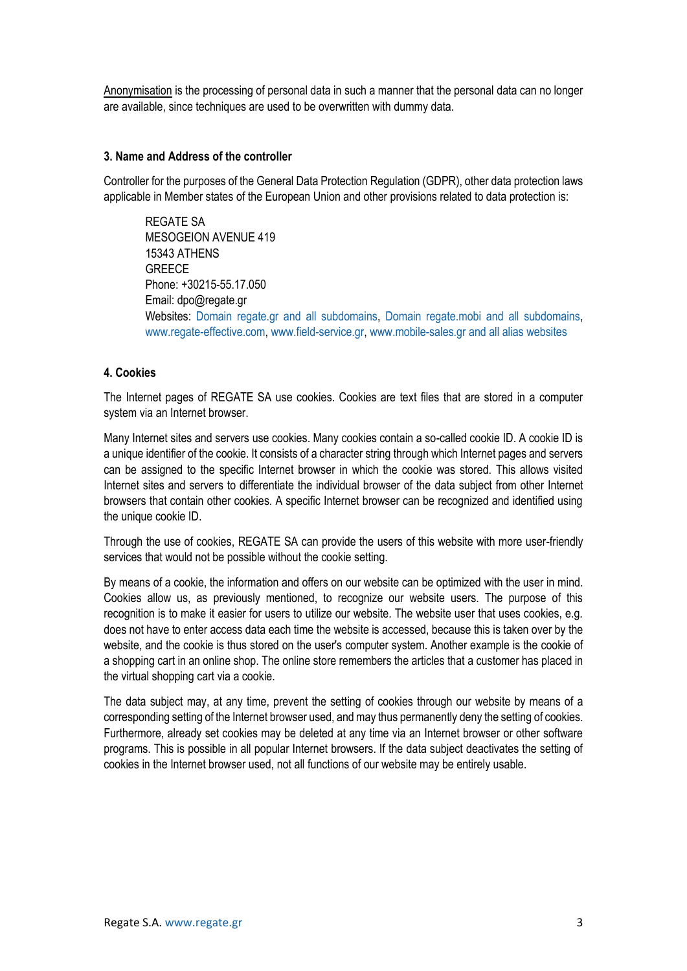Anonymisation is the processing of personal data in such a manner that the personal data can no longer are available, since techniques are used to be overwritten with dummy data.

## **3. Name and Address of the controller**

Controller for the purposes of the General Data Protection Regulation (GDPR), other data protection laws applicable in Member states of the European Union and other provisions related to data protection is:

REGATE SA MESOGEION AVENUE 419 15343 ATHENS **GREECE** Phone: +30215-55.17.050 Email: dpo@regate.gr Websites: Domain regate.gr and all subdomains, Domain regate.mobi and all subdomains, [www.regate-effective.com,](http://www.regate-effective.com/) [www.field-service.gr,](http://www.field-service.gr/) [www.mobile-sales.gr](http://www.mobile-sales.gr/) and all alias websites

# **4. Cookies**

The Internet pages of REGATE SA use cookies. Cookies are text files that are stored in a computer system via an Internet browser.

Many Internet sites and servers use cookies. Many cookies contain a so-called cookie ID. A cookie ID is a unique identifier of the cookie. It consists of a character string through which Internet pages and servers can be assigned to the specific Internet browser in which the cookie was stored. This allows visited Internet sites and servers to differentiate the individual browser of the data subject from other Internet browsers that contain other cookies. A specific Internet browser can be recognized and identified using the unique cookie ID.

Through the use of cookies, REGATE SA can provide the users of this website with more user-friendly services that would not be possible without the cookie setting.

By means of a cookie, the information and offers on our website can be optimized with the user in mind. Cookies allow us, as previously mentioned, to recognize our website users. The purpose of this recognition is to make it easier for users to utilize our website. The website user that uses cookies, e.g. does not have to enter access data each time the website is accessed, because this is taken over by the website, and the cookie is thus stored on the user's computer system. Another example is the cookie of a shopping cart in an online shop. The online store remembers the articles that a customer has placed in the virtual shopping cart via a cookie.

The data subject may, at any time, prevent the setting of cookies through our website by means of a corresponding setting of the Internet browser used, and may thus permanently deny the setting of cookies. Furthermore, already set cookies may be deleted at any time via an Internet browser or other software programs. This is possible in all popular Internet browsers. If the data subject deactivates the setting of cookies in the Internet browser used, not all functions of our website may be entirely usable.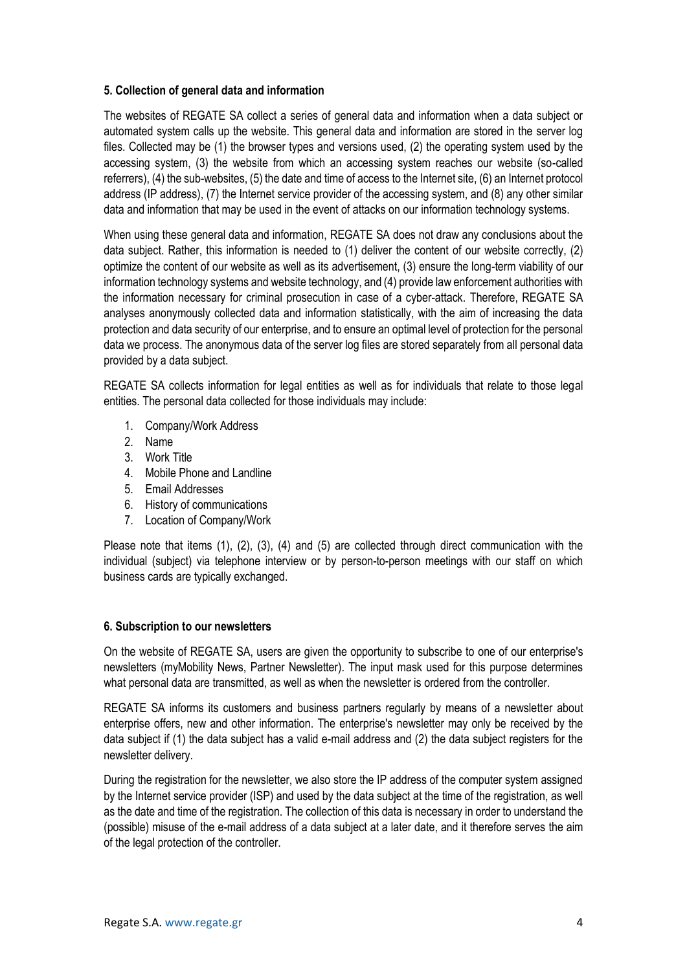## **5. Collection of general data and information**

The websites of REGATE SA collect a series of general data and information when a data subject or automated system calls up the website. This general data and information are stored in the server log files. Collected may be (1) the browser types and versions used, (2) the operating system used by the accessing system, (3) the website from which an accessing system reaches our website (so-called referrers), (4) the sub-websites, (5) the date and time of access to the Internet site, (6) an Internet protocol address (IP address), (7) the Internet service provider of the accessing system, and (8) any other similar data and information that may be used in the event of attacks on our information technology systems.

When using these general data and information, REGATE SA does not draw any conclusions about the data subject. Rather, this information is needed to (1) deliver the content of our website correctly, (2) optimize the content of our website as well as its advertisement, (3) ensure the long-term viability of our information technology systems and website technology, and (4) provide law enforcement authorities with the information necessary for criminal prosecution in case of a cyber-attack. Therefore, REGATE SA analyses anonymously collected data and information statistically, with the aim of increasing the data protection and data security of our enterprise, and to ensure an optimal level of protection for the personal data we process. The anonymous data of the server log files are stored separately from all personal data provided by a data subject.

REGATE SA collects information for legal entities as well as for individuals that relate to those legal entities. The personal data collected for those individuals may include:

- 1. Company/Work Address
- 2. Name
- 3. Work Title
- 4. Mobile Phone and Landline
- 5. Email Addresses
- 6. History of communications
- 7. Location of Company/Work

Please note that items (1), (2), (3), (4) and (5) are collected through direct communication with the individual (subject) via telephone interview or by person-to-person meetings with our staff on which business cards are typically exchanged.

#### **6. Subscription to our newsletters**

On the website of REGATE SA, users are given the opportunity to subscribe to one of our enterprise's newsletters (myMobility News, Partner Newsletter). The input mask used for this purpose determines what personal data are transmitted, as well as when the newsletter is ordered from the controller.

REGATE SA informs its customers and business partners regularly by means of a newsletter about enterprise offers, new and other information. The enterprise's newsletter may only be received by the data subject if (1) the data subject has a valid e-mail address and (2) the data subject registers for the newsletter delivery.

During the registration for the newsletter, we also store the IP address of the computer system assigned by the Internet service provider (ISP) and used by the data subject at the time of the registration, as well as the date and time of the registration. The collection of this data is necessary in order to understand the (possible) misuse of the e-mail address of a data subject at a later date, and it therefore serves the aim of the legal protection of the controller.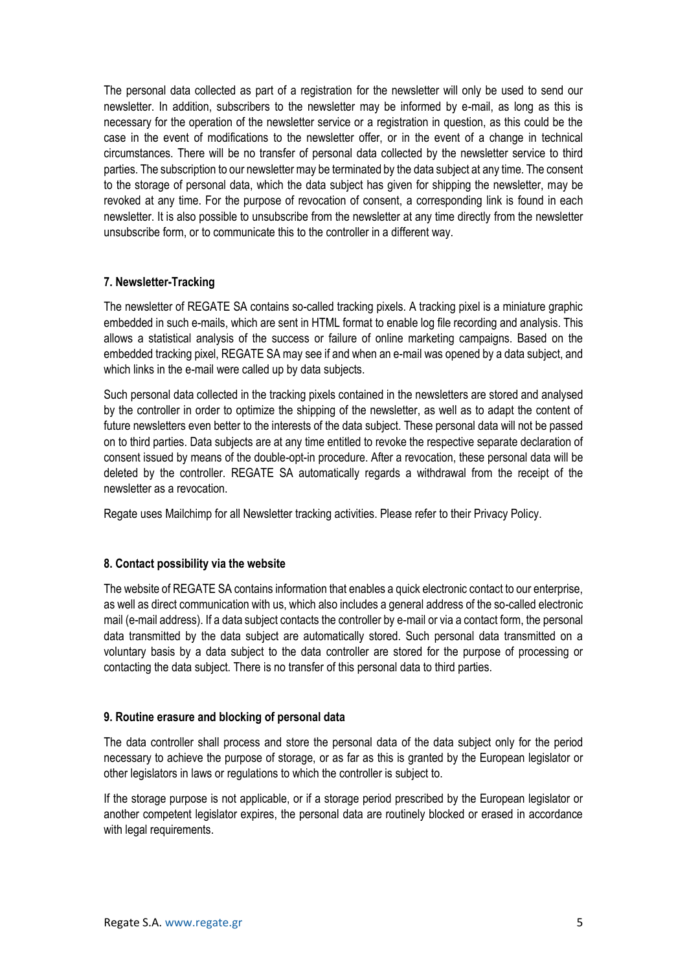The personal data collected as part of a registration for the newsletter will only be used to send our newsletter. In addition, subscribers to the newsletter may be informed by e-mail, as long as this is necessary for the operation of the newsletter service or a registration in question, as this could be the case in the event of modifications to the newsletter offer, or in the event of a change in technical circumstances. There will be no transfer of personal data collected by the newsletter service to third parties. The subscription to our newsletter may be terminated by the data subject at any time. The consent to the storage of personal data, which the data subject has given for shipping the newsletter, may be revoked at any time. For the purpose of revocation of consent, a corresponding link is found in each newsletter. It is also possible to unsubscribe from the newsletter at any time directly from the newsletter unsubscribe form, or to communicate this to the controller in a different way.

## **7. Newsletter-Tracking**

The newsletter of REGATE SA contains so-called tracking pixels. A tracking pixel is a miniature graphic embedded in such e-mails, which are sent in HTML format to enable log file recording and analysis. This allows a statistical analysis of the success or failure of online marketing campaigns. Based on the embedded tracking pixel, REGATE SA may see if and when an e-mail was opened by a data subject, and which links in the e-mail were called up by data subjects.

Such personal data collected in the tracking pixels contained in the newsletters are stored and analysed by the controller in order to optimize the shipping of the newsletter, as well as to adapt the content of future newsletters even better to the interests of the data subject. These personal data will not be passed on to third parties. Data subjects are at any time entitled to revoke the respective separate declaration of consent issued by means of the double-opt-in procedure. After a revocation, these personal data will be deleted by the controller. REGATE SA automatically regards a withdrawal from the receipt of the newsletter as a revocation.

Regate uses Mailchimp for all Newsletter tracking activities. Please refer to their Privacy Policy.

#### **8. Contact possibility via the website**

The website of REGATE SA contains information that enables a quick electronic contact to our enterprise, as well as direct communication with us, which also includes a general address of the so-called electronic mail (e-mail address). If a data subject contacts the controller by e-mail or via a contact form, the personal data transmitted by the data subject are automatically stored. Such personal data transmitted on a voluntary basis by a data subject to the data controller are stored for the purpose of processing or contacting the data subject. There is no transfer of this personal data to third parties.

#### **9. Routine erasure and blocking of personal data**

The data controller shall process and store the personal data of the data subject only for the period necessary to achieve the purpose of storage, or as far as this is granted by the European legislator or other legislators in laws or regulations to which the controller is subject to.

If the storage purpose is not applicable, or if a storage period prescribed by the European legislator or another competent legislator expires, the personal data are routinely blocked or erased in accordance with legal requirements.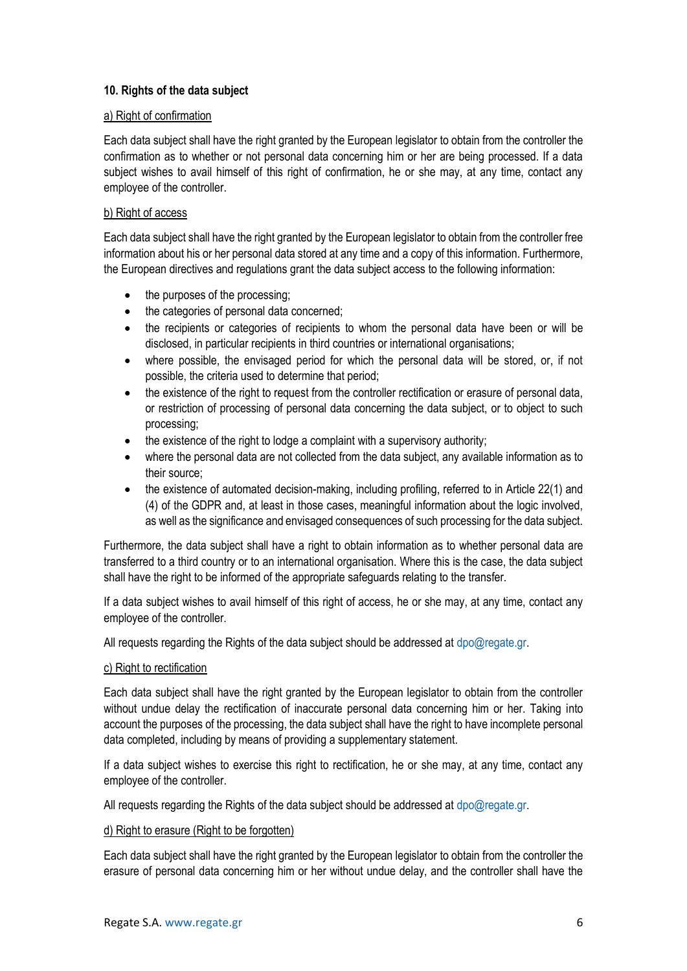# **10. Rights of the data subject**

# a) Right of confirmation

Each data subject shall have the right granted by the European legislator to obtain from the controller the confirmation as to whether or not personal data concerning him or her are being processed. If a data subject wishes to avail himself of this right of confirmation, he or she may, at any time, contact any employee of the controller.

# b) Right of access

Each data subject shall have the right granted by the European legislator to obtain from the controller free information about his or her personal data stored at any time and a copy of this information. Furthermore, the European directives and regulations grant the data subject access to the following information:

- the purposes of the processing;
- the categories of personal data concerned;
- the recipients or categories of recipients to whom the personal data have been or will be disclosed, in particular recipients in third countries or international organisations;
- where possible, the envisaged period for which the personal data will be stored, or, if not possible, the criteria used to determine that period;
- the existence of the right to request from the controller rectification or erasure of personal data, or restriction of processing of personal data concerning the data subject, or to object to such processing;
- the existence of the right to lodge a complaint with a supervisory authority;
- where the personal data are not collected from the data subject, any available information as to their source;
- the existence of automated decision-making, including profiling, referred to in Article 22(1) and (4) of the GDPR and, at least in those cases, meaningful information about the logic involved, as well as the significance and envisaged consequences of such processing for the data subject.

Furthermore, the data subject shall have a right to obtain information as to whether personal data are transferred to a third country or to an international organisation. Where this is the case, the data subject shall have the right to be informed of the appropriate safeguards relating to the transfer.

If a data subject wishes to avail himself of this right of access, he or she may, at any time, contact any employee of the controller.

All requests regarding the Rights of the data subject should be addressed at [dpo@regate.gr.](mailto:dpo@regate.gr)

#### c) Right to rectification

Each data subject shall have the right granted by the European legislator to obtain from the controller without undue delay the rectification of inaccurate personal data concerning him or her. Taking into account the purposes of the processing, the data subject shall have the right to have incomplete personal data completed, including by means of providing a supplementary statement.

If a data subject wishes to exercise this right to rectification, he or she may, at any time, contact any employee of the controller.

All requests regarding the Rights of the data subject should be addressed at [dpo@regate.gr.](mailto:dpo@regate.gr)

#### d) Right to erasure (Right to be forgotten)

Each data subject shall have the right granted by the European legislator to obtain from the controller the erasure of personal data concerning him or her without undue delay, and the controller shall have the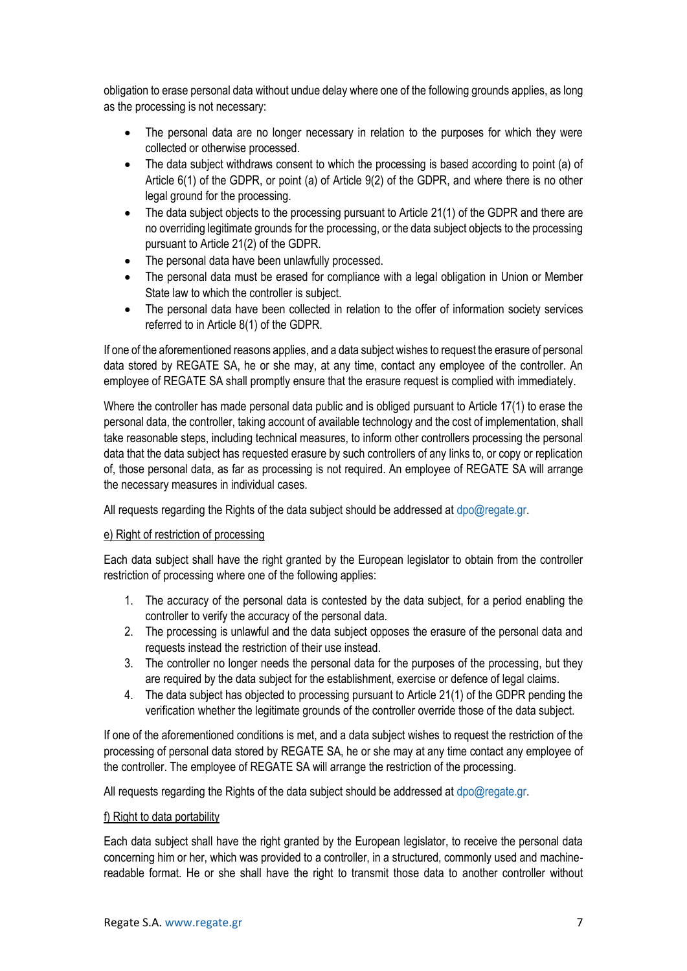obligation to erase personal data without undue delay where one of the following grounds applies, as long as the processing is not necessary:

- The personal data are no longer necessary in relation to the purposes for which they were collected or otherwise processed.
- The data subject withdraws consent to which the processing is based according to point (a) of Article 6(1) of the GDPR, or point (a) of Article 9(2) of the GDPR, and where there is no other legal ground for the processing.
- The data subject objects to the processing pursuant to Article 21(1) of the GDPR and there are no overriding legitimate grounds for the processing, or the data subject objects to the processing pursuant to Article 21(2) of the GDPR.
- The personal data have been unlawfully processed.
- The personal data must be erased for compliance with a legal obligation in Union or Member State law to which the controller is subject.
- The personal data have been collected in relation to the offer of information society services referred to in Article 8(1) of the GDPR.

If one of the aforementioned reasons applies, and a data subject wishes to request the erasure of personal data stored by REGATE SA, he or she may, at any time, contact any employee of the controller. An employee of REGATE SA shall promptly ensure that the erasure request is complied with immediately.

Where the controller has made personal data public and is obliged pursuant to Article 17(1) to erase the personal data, the controller, taking account of available technology and the cost of implementation, shall take reasonable steps, including technical measures, to inform other controllers processing the personal data that the data subject has requested erasure by such controllers of any links to, or copy or replication of, those personal data, as far as processing is not required. An employee of REGATE SA will arrange the necessary measures in individual cases.

All requests regarding the Rights of the data subject should be addressed at [dpo@regate.gr.](mailto:dpo@regate.gr)

#### e) Right of restriction of processing

Each data subject shall have the right granted by the European legislator to obtain from the controller restriction of processing where one of the following applies:

- 1. The accuracy of the personal data is contested by the data subject, for a period enabling the controller to verify the accuracy of the personal data.
- 2. The processing is unlawful and the data subject opposes the erasure of the personal data and requests instead the restriction of their use instead.
- 3. The controller no longer needs the personal data for the purposes of the processing, but they are required by the data subject for the establishment, exercise or defence of legal claims.
- 4. The data subject has objected to processing pursuant to Article 21(1) of the GDPR pending the verification whether the legitimate grounds of the controller override those of the data subject.

If one of the aforementioned conditions is met, and a data subject wishes to request the restriction of the processing of personal data stored by REGATE SA, he or she may at any time contact any employee of the controller. The employee of REGATE SA will arrange the restriction of the processing.

All requests regarding the Rights of the data subject should be addressed at [dpo@regate.gr.](mailto:dpo@regate.gr)

#### f) Right to data portability

Each data subject shall have the right granted by the European legislator, to receive the personal data concerning him or her, which was provided to a controller, in a structured, commonly used and machinereadable format. He or she shall have the right to transmit those data to another controller without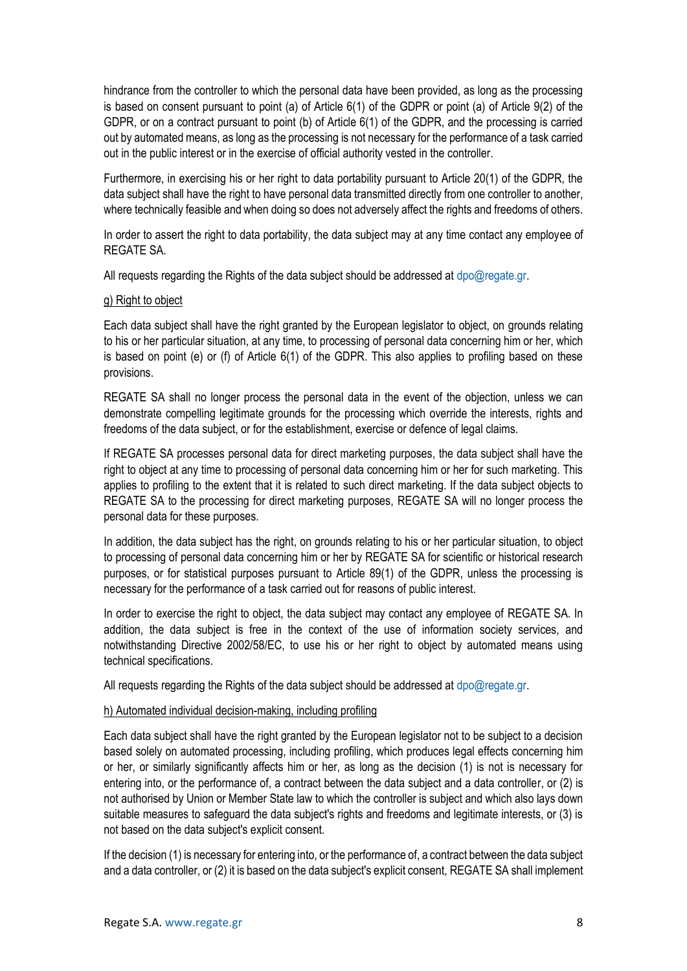hindrance from the controller to which the personal data have been provided, as long as the processing is based on consent pursuant to point (a) of Article 6(1) of the GDPR or point (a) of Article 9(2) of the GDPR, or on a contract pursuant to point (b) of Article 6(1) of the GDPR, and the processing is carried out by automated means, as long as the processing is not necessary for the performance of a task carried out in the public interest or in the exercise of official authority vested in the controller.

Furthermore, in exercising his or her right to data portability pursuant to Article 20(1) of the GDPR, the data subject shall have the right to have personal data transmitted directly from one controller to another, where technically feasible and when doing so does not adversely affect the rights and freedoms of others.

In order to assert the right to data portability, the data subject may at any time contact any employee of REGATE SA.

All requests regarding the Rights of the data subject should be addressed at  $dpo@reqate.gr.$ 

## g) Right to object

Each data subject shall have the right granted by the European legislator to object, on grounds relating to his or her particular situation, at any time, to processing of personal data concerning him or her, which is based on point (e) or (f) of Article 6(1) of the GDPR. This also applies to profiling based on these provisions.

REGATE SA shall no longer process the personal data in the event of the objection, unless we can demonstrate compelling legitimate grounds for the processing which override the interests, rights and freedoms of the data subject, or for the establishment, exercise or defence of legal claims.

If REGATE SA processes personal data for direct marketing purposes, the data subject shall have the right to object at any time to processing of personal data concerning him or her for such marketing. This applies to profiling to the extent that it is related to such direct marketing. If the data subject objects to REGATE SA to the processing for direct marketing purposes, REGATE SA will no longer process the personal data for these purposes.

In addition, the data subject has the right, on grounds relating to his or her particular situation, to object to processing of personal data concerning him or her by REGATE SA for scientific or historical research purposes, or for statistical purposes pursuant to Article 89(1) of the GDPR, unless the processing is necessary for the performance of a task carried out for reasons of public interest.

In order to exercise the right to object, the data subject may contact any employee of REGATE SA. In addition, the data subject is free in the context of the use of information society services, and notwithstanding Directive 2002/58/EC, to use his or her right to object by automated means using technical specifications.

All requests regarding the Rights of the data subject should be addressed at [dpo@regate.gr.](mailto:dpo@regate.gr)

#### h) Automated individual decision-making, including profiling

Each data subject shall have the right granted by the European legislator not to be subject to a decision based solely on automated processing, including profiling, which produces legal effects concerning him or her, or similarly significantly affects him or her, as long as the decision (1) is not is necessary for entering into, or the performance of, a contract between the data subject and a data controller, or (2) is not authorised by Union or Member State law to which the controller is subject and which also lays down suitable measures to safeguard the data subject's rights and freedoms and legitimate interests, or (3) is not based on the data subject's explicit consent.

If the decision (1) is necessary for entering into, or the performance of, a contract between the data subject and a data controller, or (2) it is based on the data subject's explicit consent, REGATE SA shall implement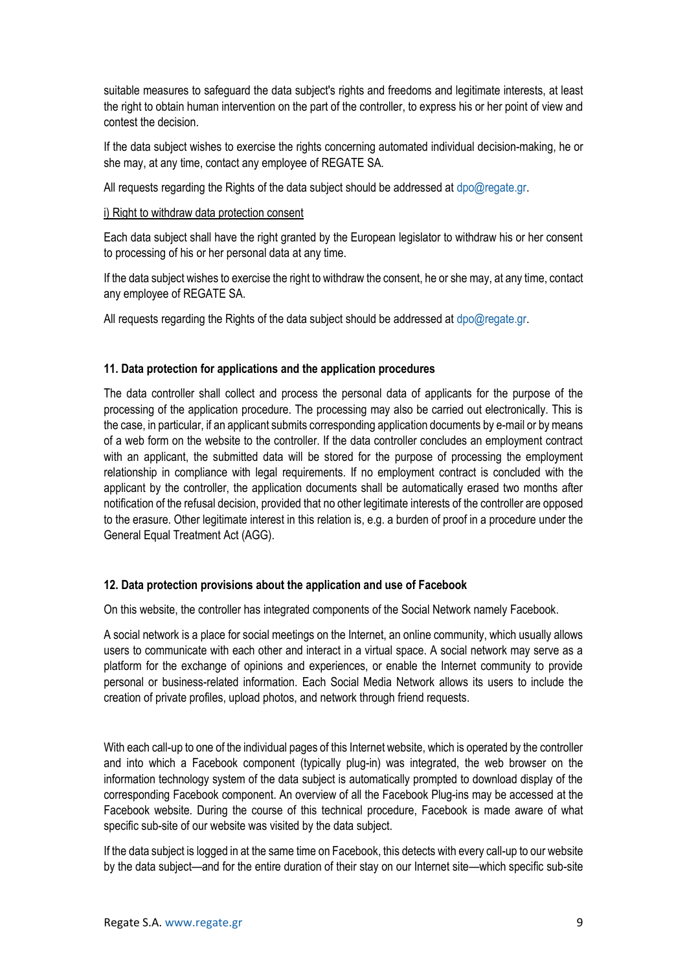suitable measures to safeguard the data subject's rights and freedoms and legitimate interests, at least the right to obtain human intervention on the part of the controller, to express his or her point of view and contest the decision.

If the data subject wishes to exercise the rights concerning automated individual decision-making, he or she may, at any time, contact any employee of REGATE SA.

All requests regarding the Rights of the data subject should be addressed at [dpo@regate.gr.](mailto:dpo@regate.gr)

#### i) Right to withdraw data protection consent

Each data subject shall have the right granted by the European legislator to withdraw his or her consent to processing of his or her personal data at any time.

If the data subject wishes to exercise the right to withdraw the consent, he or she may, at any time, contact any employee of REGATE SA.

All requests regarding the Rights of the data subject should be addressed at [dpo@regate.gr.](mailto:dpo@regate.gr)

# **11. Data protection for applications and the application procedures**

The data controller shall collect and process the personal data of applicants for the purpose of the processing of the application procedure. The processing may also be carried out electronically. This is the case, in particular, if an applicant submits corresponding application documents by e-mail or by means of a web form on the website to the controller. If the data controller concludes an employment contract with an applicant, the submitted data will be stored for the purpose of processing the employment relationship in compliance with legal requirements. If no employment contract is concluded with the applicant by the controller, the application documents shall be automatically erased two months after notification of the refusal decision, provided that no other legitimate interests of the controller are opposed to the erasure. Other legitimate interest in this relation is, e.g. a burden of proof in a procedure under the General Equal Treatment Act (AGG).

# **12. Data protection provisions about the application and use of Facebook**

On this website, the controller has integrated components of the Social Network namely Facebook.

A social network is a place for social meetings on the Internet, an online community, which usually allows users to communicate with each other and interact in a virtual space. A social network may serve as a platform for the exchange of opinions and experiences, or enable the Internet community to provide personal or business-related information. Each Social Media Network allows its users to include the creation of private profiles, upload photos, and network through friend requests.

With each call-up to one of the individual pages of this Internet website, which is operated by the controller and into which a Facebook component (typically plug-in) was integrated, the web browser on the information technology system of the data subject is automatically prompted to download display of the corresponding Facebook component. An overview of all the Facebook Plug-ins may be accessed at the Facebook website. During the course of this technical procedure, Facebook is made aware of what specific sub-site of our website was visited by the data subject.

If the data subject is logged in at the same time on Facebook, this detects with every call-up to our website by the data subject—and for the entire duration of their stay on our Internet site—which specific sub-site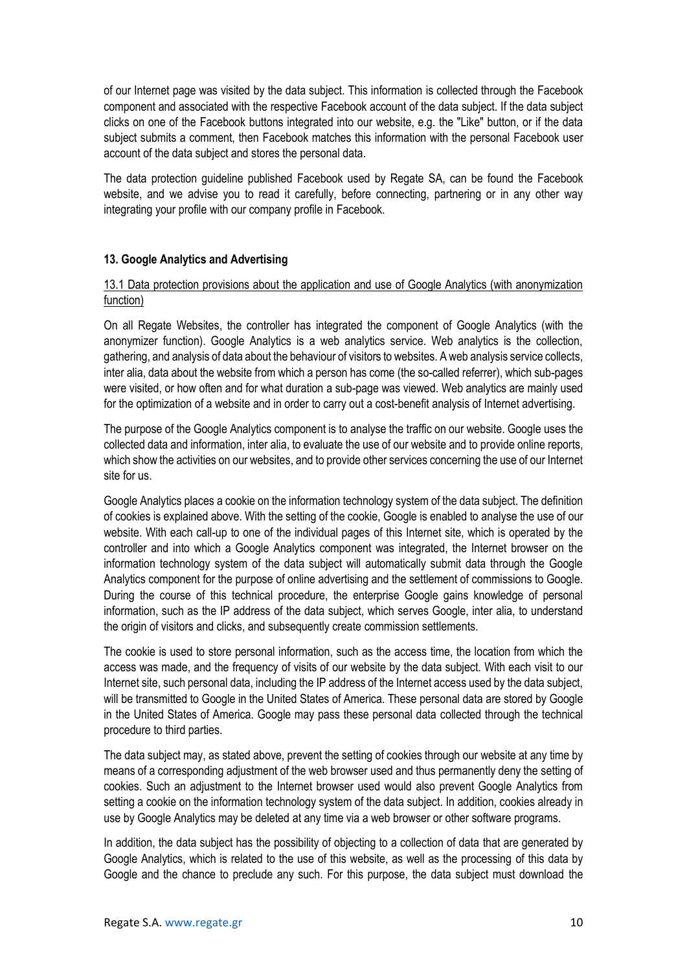of our Internet page was visited by the data subject. This information is collected through the Facebook component and associated with the respective Facebook account of the data subject. If the data subject clicks on one of the Facebook buttons integrated into our website, e.g. the "Like" button, or if the data subject submits a comment, then Facebook matches this information with the personal Facebook user account of the data subject and stores the personal data.

The data protection guideline published Facebook used by Regate SA, can be found the Facebook website, and we advise you to read it carefully, before connecting, partnering or in any other way integrating your profile with our company profile in Facebook.

## **13. Google Analytics and Advertising**

## 13.1 Data protection provisions about the application and use of Google Analytics (with anonymization function)

On all Regate Websites, the controller has integrated the component of Google Analytics (with the anonymizer function). Google Analytics is a web analytics service. Web analytics is the collection, gathering, and analysis of data about the behaviour of visitors to websites. A web analysis service collects, inter alia, data about the website from which a person has come (the so-called referrer), which sub-pages were visited, or how often and for what duration a sub-page was viewed. Web analytics are mainly used for the optimization of a website and in order to carry out a cost-benefit analysis of Internet advertising.

The purpose of the Google Analytics component is to analyse the traffic on our website. Google uses the collected data and information, inter alia, to evaluate the use of our website and to provide online reports, which show the activities on our websites, and to provide other services concerning the use of our Internet site for us.

Google Analytics places a cookie on the information technology system of the data subject. The definition of cookies is explained above. With the setting of the cookie, Google is enabled to analyse the use of our website. With each call-up to one of the individual pages of this Internet site, which is operated by the controller and into which a Google Analytics component was integrated, the Internet browser on the information technology system of the data subject will automatically submit data through the Google Analytics component for the purpose of online advertising and the settlement of commissions to Google. During the course of this technical procedure, the enterprise Google gains knowledge of personal information, such as the IP address of the data subject, which serves Google, inter alia, to understand the origin of visitors and clicks, and subsequently create commission settlements.

The cookie is used to store personal information, such as the access time, the location from which the access was made, and the frequency of visits of our website by the data subject. With each visit to our Internet site, such personal data, including the IP address of the Internet access used by the data subject, will be transmitted to Google in the United States of America. These personal data are stored by Google in the United States of America. Google may pass these personal data collected through the technical procedure to third parties.

The data subject may, as stated above, prevent the setting of cookies through our website at any time by means of a corresponding adjustment of the web browser used and thus permanently deny the setting of cookies. Such an adjustment to the Internet browser used would also prevent Google Analytics from setting a cookie on the information technology system of the data subject. In addition, cookies already in use by Google Analytics may be deleted at any time via a web browser or other software programs.

In addition, the data subject has the possibility of objecting to a collection of data that are generated by Google Analytics, which is related to the use of this website, as well as the processing of this data by Google and the chance to preclude any such. For this purpose, the data subject must download the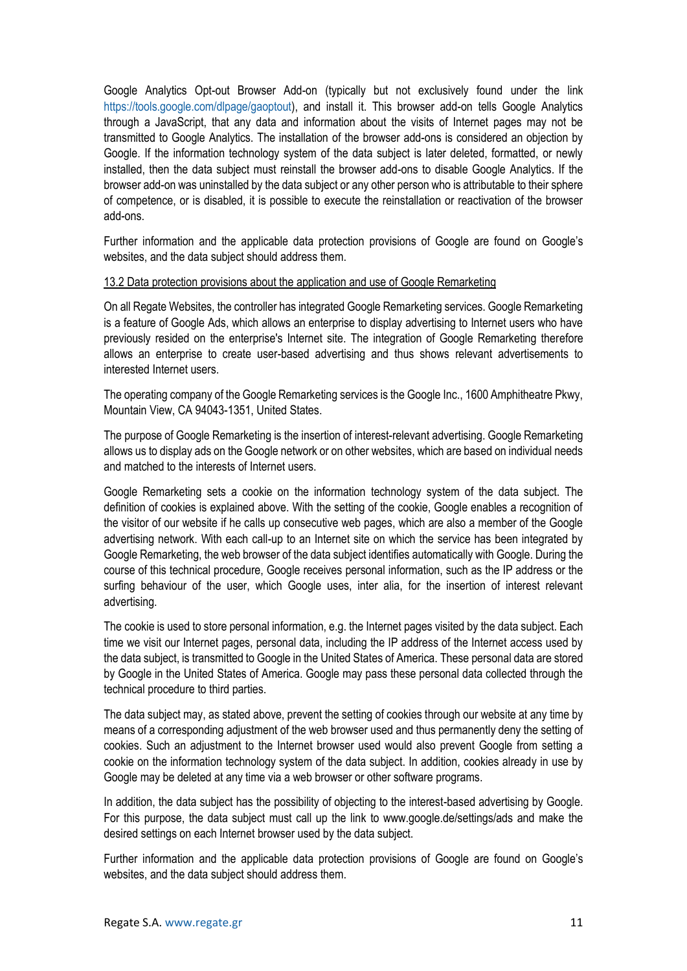Google Analytics Opt-out Browser Add-on (typically but not exclusively found under the link [https://tools.google.com/dlpage/gaoptout\)](https://tools.google.com/dlpage/gaoptout), and install it. This browser add-on tells Google Analytics through a JavaScript, that any data and information about the visits of Internet pages may not be transmitted to Google Analytics. The installation of the browser add-ons is considered an objection by Google. If the information technology system of the data subject is later deleted, formatted, or newly installed, then the data subject must reinstall the browser add-ons to disable Google Analytics. If the browser add-on was uninstalled by the data subject or any other person who is attributable to their sphere of competence, or is disabled, it is possible to execute the reinstallation or reactivation of the browser add-ons.

Further information and the applicable data protection provisions of Google are found on Google's websites, and the data subject should address them.

## 13.2 Data protection provisions about the application and use of Google Remarketing

On all Regate Websites, the controller has integrated Google Remarketing services. Google Remarketing is a feature of Google Ads, which allows an enterprise to display advertising to Internet users who have previously resided on the enterprise's Internet site. The integration of Google Remarketing therefore allows an enterprise to create user-based advertising and thus shows relevant advertisements to interested Internet users.

The operating company of the Google Remarketing services is the Google Inc., 1600 Amphitheatre Pkwy, Mountain View, CA 94043-1351, United States.

The purpose of Google Remarketing is the insertion of interest-relevant advertising. Google Remarketing allows us to display ads on the Google network or on other websites, which are based on individual needs and matched to the interests of Internet users.

Google Remarketing sets a cookie on the information technology system of the data subject. The definition of cookies is explained above. With the setting of the cookie, Google enables a recognition of the visitor of our website if he calls up consecutive web pages, which are also a member of the Google advertising network. With each call-up to an Internet site on which the service has been integrated by Google Remarketing, the web browser of the data subject identifies automatically with Google. During the course of this technical procedure, Google receives personal information, such as the IP address or the surfing behaviour of the user, which Google uses, inter alia, for the insertion of interest relevant advertising.

The cookie is used to store personal information, e.g. the Internet pages visited by the data subject. Each time we visit our Internet pages, personal data, including the IP address of the Internet access used by the data subject, is transmitted to Google in the United States of America. These personal data are stored by Google in the United States of America. Google may pass these personal data collected through the technical procedure to third parties.

The data subject may, as stated above, prevent the setting of cookies through our website at any time by means of a corresponding adjustment of the web browser used and thus permanently deny the setting of cookies. Such an adjustment to the Internet browser used would also prevent Google from setting a cookie on the information technology system of the data subject. In addition, cookies already in use by Google may be deleted at any time via a web browser or other software programs.

In addition, the data subject has the possibility of objecting to the interest-based advertising by Google. For this purpose, the data subject must call up the link to www.google.de/settings/ads and make the desired settings on each Internet browser used by the data subject.

Further information and the applicable data protection provisions of Google are found on Google's websites, and the data subject should address them.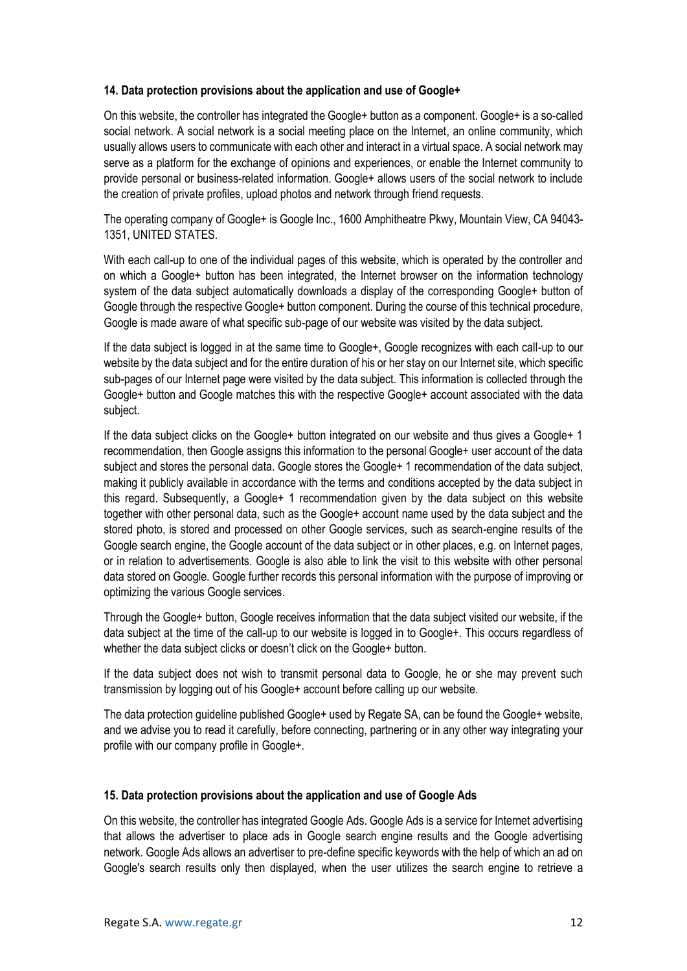## **14. Data protection provisions about the application and use of Google+**

On this website, the controller has integrated the Google+ button as a component. Google+ is a so-called social network. A social network is a social meeting place on the Internet, an online community, which usually allows users to communicate with each other and interact in a virtual space. A social network may serve as a platform for the exchange of opinions and experiences, or enable the Internet community to provide personal or business-related information. Google+ allows users of the social network to include the creation of private profiles, upload photos and network through friend requests.

The operating company of Google+ is Google Inc., 1600 Amphitheatre Pkwy, Mountain View, CA 94043- 1351, UNITED STATES.

With each call-up to one of the individual pages of this website, which is operated by the controller and on which a Google+ button has been integrated, the Internet browser on the information technology system of the data subject automatically downloads a display of the corresponding Google+ button of Google through the respective Google+ button component. During the course of this technical procedure, Google is made aware of what specific sub-page of our website was visited by the data subject.

If the data subject is logged in at the same time to Google+, Google recognizes with each call-up to our website by the data subject and for the entire duration of his or her stay on our Internet site, which specific sub-pages of our Internet page were visited by the data subject. This information is collected through the Google+ button and Google matches this with the respective Google+ account associated with the data subject.

If the data subject clicks on the Google+ button integrated on our website and thus gives a Google+ 1 recommendation, then Google assigns this information to the personal Google+ user account of the data subject and stores the personal data. Google stores the Google+ 1 recommendation of the data subject, making it publicly available in accordance with the terms and conditions accepted by the data subject in this regard. Subsequently, a Google+ 1 recommendation given by the data subject on this website together with other personal data, such as the Google+ account name used by the data subject and the stored photo, is stored and processed on other Google services, such as search-engine results of the Google search engine, the Google account of the data subject or in other places, e.g. on Internet pages, or in relation to advertisements. Google is also able to link the visit to this website with other personal data stored on Google. Google further records this personal information with the purpose of improving or optimizing the various Google services.

Through the Google+ button, Google receives information that the data subject visited our website, if the data subject at the time of the call-up to our website is logged in to Google+. This occurs regardless of whether the data subject clicks or doesn't click on the Google+ button.

If the data subject does not wish to transmit personal data to Google, he or she may prevent such transmission by logging out of his Google+ account before calling up our website.

The data protection guideline published Google+ used by Regate SA, can be found the Google+ website, and we advise you to read it carefully, before connecting, partnering or in any other way integrating your profile with our company profile in Google+.

# **15. Data protection provisions about the application and use of Google Ads**

On this website, the controller has integrated Google Ads. Google Ads is a service for Internet advertising that allows the advertiser to place ads in Google search engine results and the Google advertising network. Google Ads allows an advertiser to pre-define specific keywords with the help of which an ad on Google's search results only then displayed, when the user utilizes the search engine to retrieve a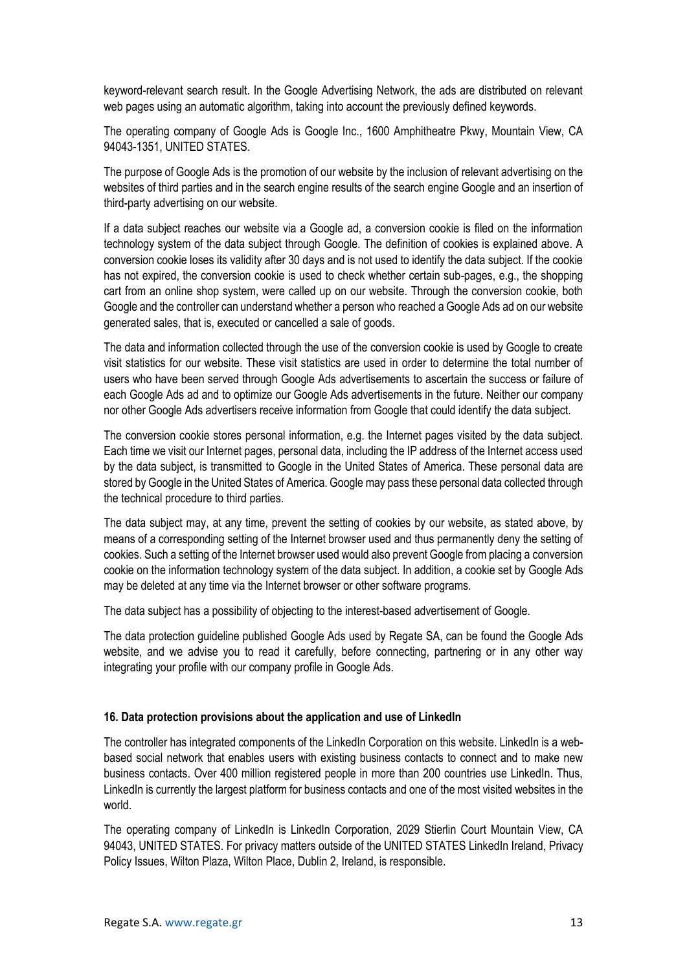keyword-relevant search result. In the Google Advertising Network, the ads are distributed on relevant web pages using an automatic algorithm, taking into account the previously defined keywords.

The operating company of Google Ads is Google Inc., 1600 Amphitheatre Pkwy, Mountain View, CA 94043-1351, UNITED STATES.

The purpose of Google Ads is the promotion of our website by the inclusion of relevant advertising on the websites of third parties and in the search engine results of the search engine Google and an insertion of third-party advertising on our website.

If a data subject reaches our website via a Google ad, a conversion cookie is filed on the information technology system of the data subject through Google. The definition of cookies is explained above. A conversion cookie loses its validity after 30 days and is not used to identify the data subject. If the cookie has not expired, the conversion cookie is used to check whether certain sub-pages, e.g., the shopping cart from an online shop system, were called up on our website. Through the conversion cookie, both Google and the controller can understand whether a person who reached a Google Ads ad on our website generated sales, that is, executed or cancelled a sale of goods.

The data and information collected through the use of the conversion cookie is used by Google to create visit statistics for our website. These visit statistics are used in order to determine the total number of users who have been served through Google Ads advertisements to ascertain the success or failure of each Google Ads ad and to optimize our Google Ads advertisements in the future. Neither our company nor other Google Ads advertisers receive information from Google that could identify the data subject.

The conversion cookie stores personal information, e.g. the Internet pages visited by the data subject. Each time we visit our Internet pages, personal data, including the IP address of the Internet access used by the data subject, is transmitted to Google in the United States of America. These personal data are stored by Google in the United States of America. Google may pass these personal data collected through the technical procedure to third parties.

The data subject may, at any time, prevent the setting of cookies by our website, as stated above, by means of a corresponding setting of the Internet browser used and thus permanently deny the setting of cookies. Such a setting of the Internet browser used would also prevent Google from placing a conversion cookie on the information technology system of the data subject. In addition, a cookie set by Google Ads may be deleted at any time via the Internet browser or other software programs.

The data subject has a possibility of objecting to the interest-based advertisement of Google.

The data protection guideline published Google Ads used by Regate SA, can be found the Google Ads website, and we advise you to read it carefully, before connecting, partnering or in any other way integrating your profile with our company profile in Google Ads.

#### **16. Data protection provisions about the application and use of LinkedIn**

The controller has integrated components of the LinkedIn Corporation on this website. LinkedIn is a webbased social network that enables users with existing business contacts to connect and to make new business contacts. Over 400 million registered people in more than 200 countries use LinkedIn. Thus, LinkedIn is currently the largest platform for business contacts and one of the most visited websites in the world.

The operating company of LinkedIn is LinkedIn Corporation, 2029 Stierlin Court Mountain View, CA 94043, UNITED STATES. For privacy matters outside of the UNITED STATES LinkedIn Ireland, Privacy Policy Issues, Wilton Plaza, Wilton Place, Dublin 2, Ireland, is responsible.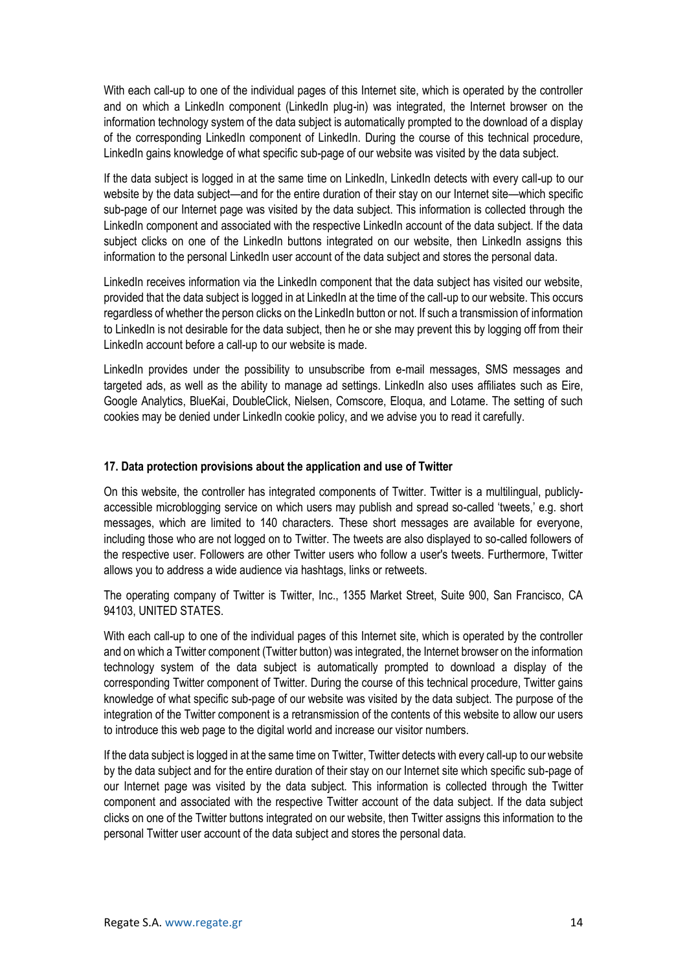With each call-up to one of the individual pages of this Internet site, which is operated by the controller and on which a LinkedIn component (LinkedIn plug-in) was integrated, the Internet browser on the information technology system of the data subject is automatically prompted to the download of a display of the corresponding LinkedIn component of LinkedIn. During the course of this technical procedure, LinkedIn gains knowledge of what specific sub-page of our website was visited by the data subject.

If the data subject is logged in at the same time on LinkedIn, LinkedIn detects with every call-up to our website by the data subject—and for the entire duration of their stay on our Internet site—which specific sub-page of our Internet page was visited by the data subject. This information is collected through the LinkedIn component and associated with the respective LinkedIn account of the data subject. If the data subject clicks on one of the LinkedIn buttons integrated on our website, then LinkedIn assigns this information to the personal LinkedIn user account of the data subject and stores the personal data.

LinkedIn receives information via the LinkedIn component that the data subject has visited our website, provided that the data subject is logged in at LinkedIn at the time of the call-up to our website. This occurs regardless of whether the person clicks on the LinkedIn button or not. If such a transmission of information to LinkedIn is not desirable for the data subject, then he or she may prevent this by logging off from their LinkedIn account before a call-up to our website is made.

LinkedIn provides under the possibility to unsubscribe from e-mail messages, SMS messages and targeted ads, as well as the ability to manage ad settings. LinkedIn also uses affiliates such as Eire, Google Analytics, BlueKai, DoubleClick, Nielsen, Comscore, Eloqua, and Lotame. The setting of such cookies may be denied under LinkedIn cookie policy, and we advise you to read it carefully.

# **17. Data protection provisions about the application and use of Twitter**

On this website, the controller has integrated components of Twitter. Twitter is a multilingual, publiclyaccessible microblogging service on which users may publish and spread so-called 'tweets,' e.g. short messages, which are limited to 140 characters. These short messages are available for everyone, including those who are not logged on to Twitter. The tweets are also displayed to so-called followers of the respective user. Followers are other Twitter users who follow a user's tweets. Furthermore, Twitter allows you to address a wide audience via hashtags, links or retweets.

The operating company of Twitter is Twitter, Inc., 1355 Market Street, Suite 900, San Francisco, CA 94103, UNITED STATES.

With each call-up to one of the individual pages of this Internet site, which is operated by the controller and on which a Twitter component (Twitter button) was integrated, the Internet browser on the information technology system of the data subject is automatically prompted to download a display of the corresponding Twitter component of Twitter. During the course of this technical procedure, Twitter gains knowledge of what specific sub-page of our website was visited by the data subject. The purpose of the integration of the Twitter component is a retransmission of the contents of this website to allow our users to introduce this web page to the digital world and increase our visitor numbers.

If the data subject is logged in at the same time on Twitter, Twitter detects with every call-up to our website by the data subject and for the entire duration of their stay on our Internet site which specific sub-page of our Internet page was visited by the data subject. This information is collected through the Twitter component and associated with the respective Twitter account of the data subject. If the data subject clicks on one of the Twitter buttons integrated on our website, then Twitter assigns this information to the personal Twitter user account of the data subject and stores the personal data.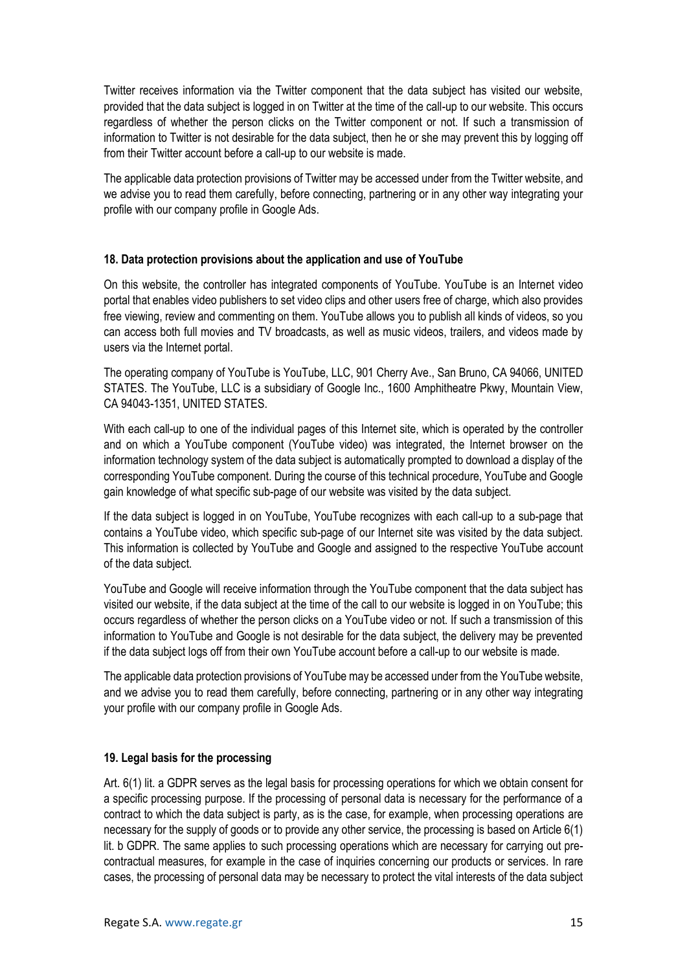Twitter receives information via the Twitter component that the data subject has visited our website, provided that the data subject is logged in on Twitter at the time of the call-up to our website. This occurs regardless of whether the person clicks on the Twitter component or not. If such a transmission of information to Twitter is not desirable for the data subject, then he or she may prevent this by logging off from their Twitter account before a call-up to our website is made.

The applicable data protection provisions of Twitter may be accessed under from the Twitter website, and we advise you to read them carefully, before connecting, partnering or in any other way integrating your profile with our company profile in Google Ads.

## **18. Data protection provisions about the application and use of YouTube**

On this website, the controller has integrated components of YouTube. YouTube is an Internet video portal that enables video publishers to set video clips and other users free of charge, which also provides free viewing, review and commenting on them. YouTube allows you to publish all kinds of videos, so you can access both full movies and TV broadcasts, as well as music videos, trailers, and videos made by users via the Internet portal.

The operating company of YouTube is YouTube, LLC, 901 Cherry Ave., San Bruno, CA 94066, UNITED STATES. The YouTube, LLC is a subsidiary of Google Inc., 1600 Amphitheatre Pkwy, Mountain View, CA 94043-1351, UNITED STATES.

With each call-up to one of the individual pages of this Internet site, which is operated by the controller and on which a YouTube component (YouTube video) was integrated, the Internet browser on the information technology system of the data subject is automatically prompted to download a display of the corresponding YouTube component. During the course of this technical procedure, YouTube and Google gain knowledge of what specific sub-page of our website was visited by the data subject.

If the data subject is logged in on YouTube, YouTube recognizes with each call-up to a sub-page that contains a YouTube video, which specific sub-page of our Internet site was visited by the data subject. This information is collected by YouTube and Google and assigned to the respective YouTube account of the data subject.

YouTube and Google will receive information through the YouTube component that the data subject has visited our website, if the data subject at the time of the call to our website is logged in on YouTube; this occurs regardless of whether the person clicks on a YouTube video or not. If such a transmission of this information to YouTube and Google is not desirable for the data subject, the delivery may be prevented if the data subject logs off from their own YouTube account before a call-up to our website is made.

The applicable data protection provisions of YouTube may be accessed under from the YouTube website, and we advise you to read them carefully, before connecting, partnering or in any other way integrating your profile with our company profile in Google Ads.

# **19. Legal basis for the processing**

Art. 6(1) lit. a GDPR serves as the legal basis for processing operations for which we obtain consent for a specific processing purpose. If the processing of personal data is necessary for the performance of a contract to which the data subject is party, as is the case, for example, when processing operations are necessary for the supply of goods or to provide any other service, the processing is based on Article 6(1) lit. b GDPR. The same applies to such processing operations which are necessary for carrying out precontractual measures, for example in the case of inquiries concerning our products or services. In rare cases, the processing of personal data may be necessary to protect the vital interests of the data subject